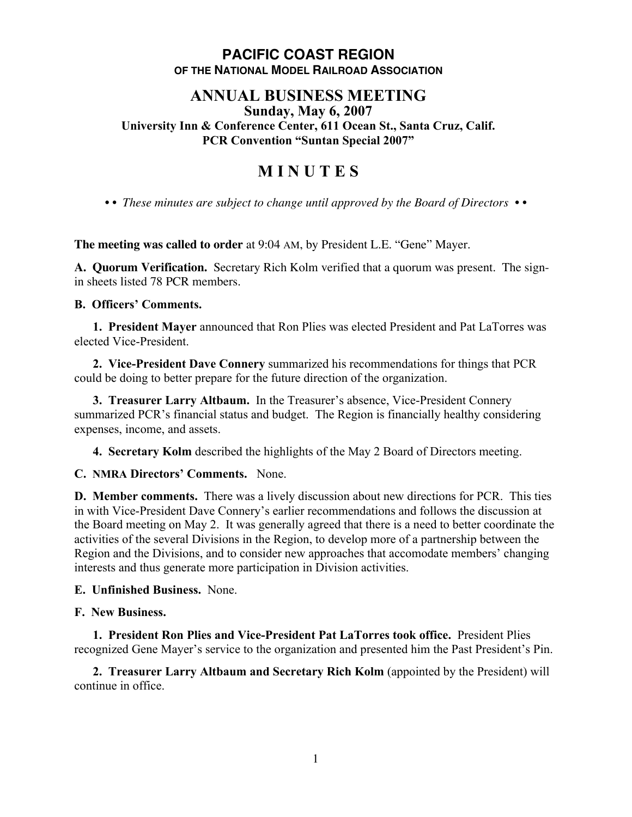## **PACIFIC COAST REGION OF THE NATIONAL MODEL RAILROAD ASSOCIATION**

#### **ANNUAL BUSINESS MEETING Sunday, May 6, 2007**

**University Inn & Conference Center, 611 Ocean St., Santa Cruz, Calif. PCR Convention "Suntan Special 2007"**

# **M I N U T E S**

*• • These minutes are subject to change until approved by the Board of Directors • •*

**The meeting was called to order** at 9:04 AM, by President L.E. "Gene" Mayer.

**A. Quorum Verification.** Secretary Rich Kolm verified that a quorum was present. The signin sheets listed 78 PCR members.

## **B. Officers' Comments.**

**1. President Mayer** announced that Ron Plies was elected President and Pat LaTorres was elected Vice-President.

**2. Vice-President Dave Connery** summarized his recommendations for things that PCR could be doing to better prepare for the future direction of the organization.

**3. Treasurer Larry Altbaum.** In the Treasurer's absence, Vice-President Connery summarized PCR's financial status and budget. The Region is financially healthy considering expenses, income, and assets.

**4. Secretary Kolm** described the highlights of the May 2 Board of Directors meeting.

## **C. NMRA Directors' Comments.** None.

**D. Member comments.** There was a lively discussion about new directions for PCR. This ties in with Vice-President Dave Connery's earlier recommendations and follows the discussion at the Board meeting on May 2. It was generally agreed that there is a need to better coordinate the activities of the several Divisions in the Region, to develop more of a partnership between the Region and the Divisions, and to consider new approaches that accomodate members' changing interests and thus generate more participation in Division activities.

## **E. Unfinished Business.** None.

## **F. New Business.**

**1. President Ron Plies and Vice-President Pat LaTorres took office.** President Plies recognized Gene Mayer's service to the organization and presented him the Past President's Pin.

**2. Treasurer Larry Altbaum and Secretary Rich Kolm** (appointed by the President) will continue in office.